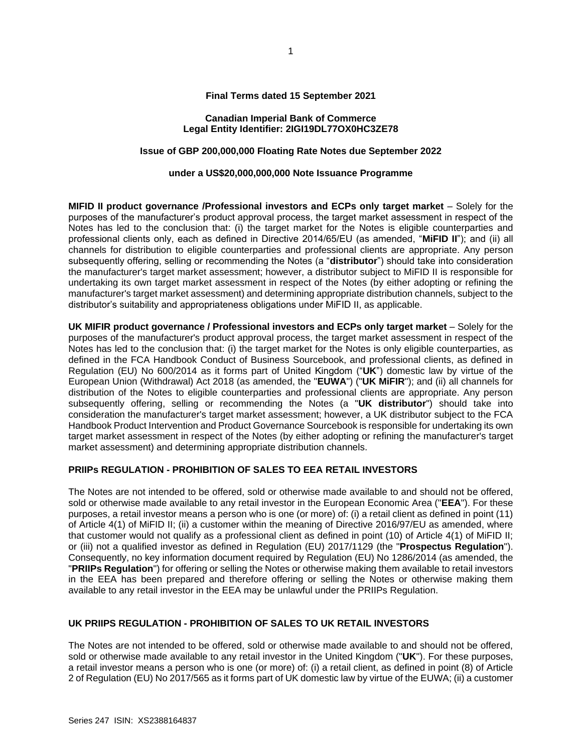## **Final Terms dated 15 September 2021**

#### **Canadian Imperial Bank of Commerce Legal Entity Identifier: 2IGI19DL77OX0HC3ZE78**

# **Issue of GBP 200,000,000 Floating Rate Notes due September 2022**

#### **under a US\$20,000,000,000 Note Issuance Programme**

**MIFID II product governance /Professional investors and ECPs only target market** – Solely for the purposes of the manufacturer's product approval process, the target market assessment in respect of the Notes has led to the conclusion that: (i) the target market for the Notes is eligible counterparties and professional clients only, each as defined in Directive 2014/65/EU (as amended, "**MiFID II**"); and (ii) all channels for distribution to eligible counterparties and professional clients are appropriate. Any person subsequently offering, selling or recommending the Notes (a "**distributor**") should take into consideration the manufacturer's target market assessment; however, a distributor subject to MiFID II is responsible for undertaking its own target market assessment in respect of the Notes (by either adopting or refining the manufacturer's target market assessment) and determining appropriate distribution channels, subject to the distributor's suitability and appropriateness obligations under MiFID II, as applicable.

**UK MIFIR product governance / Professional investors and ECPs only target market** – Solely for the purposes of the manufacturer's product approval process, the target market assessment in respect of the Notes has led to the conclusion that: (i) the target market for the Notes is only eligible counterparties, as defined in the FCA Handbook Conduct of Business Sourcebook, and professional clients, as defined in Regulation (EU) No 600/2014 as it forms part of United Kingdom ("**UK**") domestic law by virtue of the European Union (Withdrawal) Act 2018 (as amended, the "**EUWA**") ("**UK MiFIR**"); and (ii) all channels for distribution of the Notes to eligible counterparties and professional clients are appropriate. Any person subsequently offering, selling or recommending the Notes (a "**UK distributor**") should take into consideration the manufacturer's target market assessment; however, a UK distributor subject to the FCA Handbook Product Intervention and Product Governance Sourcebook is responsible for undertaking its own target market assessment in respect of the Notes (by either adopting or refining the manufacturer's target market assessment) and determining appropriate distribution channels.

#### **PRIIPs REGULATION - PROHIBITION OF SALES TO EEA RETAIL INVESTORS**

The Notes are not intended to be offered, sold or otherwise made available to and should not be offered, sold or otherwise made available to any retail investor in the European Economic Area ("**EEA**"). For these purposes, a retail investor means a person who is one (or more) of: (i) a retail client as defined in point (11) of Article 4(1) of MiFID II; (ii) a customer within the meaning of Directive 2016/97/EU as amended, where that customer would not qualify as a professional client as defined in point (10) of Article 4(1) of MiFID II; or (iii) not a qualified investor as defined in Regulation (EU) 2017/1129 (the "**Prospectus Regulation**"). Consequently, no key information document required by Regulation (EU) No 1286/2014 (as amended, the "**PRIIPs Regulation**") for offering or selling the Notes or otherwise making them available to retail investors in the EEA has been prepared and therefore offering or selling the Notes or otherwise making them available to any retail investor in the EEA may be unlawful under the PRIIPs Regulation.

# **UK PRIIPS REGULATION - PROHIBITION OF SALES TO UK RETAIL INVESTORS**

The Notes are not intended to be offered, sold or otherwise made available to and should not be offered, sold or otherwise made available to any retail investor in the United Kingdom ("**UK**"). For these purposes, a retail investor means a person who is one (or more) of: (i) a retail client, as defined in point (8) of Article 2 of Regulation (EU) No 2017/565 as it forms part of UK domestic law by virtue of the EUWA; (ii) a customer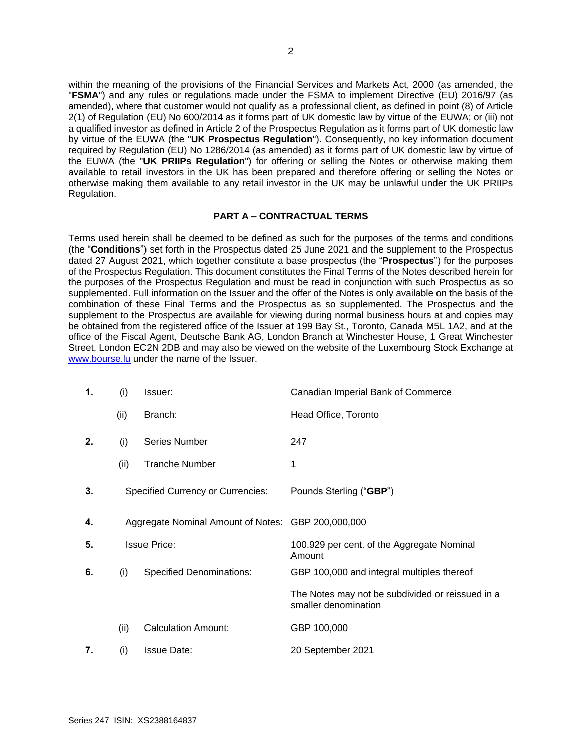within the meaning of the provisions of the Financial Services and Markets Act, 2000 (as amended, the "**FSMA**") and any rules or regulations made under the FSMA to implement Directive (EU) 2016/97 (as amended), where that customer would not qualify as a professional client, as defined in point (8) of Article 2(1) of Regulation (EU) No 600/2014 as it forms part of UK domestic law by virtue of the EUWA; or (iii) not a qualified investor as defined in Article 2 of the Prospectus Regulation as it forms part of UK domestic law by virtue of the EUWA (the "**UK Prospectus Regulation**"). Consequently, no key information document required by Regulation (EU) No 1286/2014 (as amended) as it forms part of UK domestic law by virtue of the EUWA (the "**UK PRIIPs Regulation**") for offering or selling the Notes or otherwise making them available to retail investors in the UK has been prepared and therefore offering or selling the Notes or otherwise making them available to any retail investor in the UK may be unlawful under the UK PRIIPs Regulation.

# **PART A – CONTRACTUAL TERMS**

Terms used herein shall be deemed to be defined as such for the purposes of the terms and conditions (the "**Conditions**") set forth in the Prospectus dated 25 June 2021 and the supplement to the Prospectus dated 27 August 2021, which together constitute a base prospectus (the "**Prospectus**") for the purposes of the Prospectus Regulation. This document constitutes the Final Terms of the Notes described herein for the purposes of the Prospectus Regulation and must be read in conjunction with such Prospectus as so supplemented. Full information on the Issuer and the offer of the Notes is only available on the basis of the combination of these Final Terms and the Prospectus as so supplemented. The Prospectus and the supplement to the Prospectus are available for viewing during normal business hours at and copies may be obtained from the registered office of the Issuer at 199 Bay St., Toronto, Canada M5L 1A2, and at the office of the Fiscal Agent, Deutsche Bank AG, London Branch at Winchester House, 1 Great Winchester Street, London EC2N 2DB and may also be viewed on the website of the Luxembourg Stock Exchange at [www.bourse.lu](http://www.bourse.lu/) under the name of the Issuer.

| 1. | (i)  | Issuer:                                            | Canadian Imperial Bank of Commerce                                       |
|----|------|----------------------------------------------------|--------------------------------------------------------------------------|
|    | (ii) | Branch:                                            | Head Office, Toronto                                                     |
| 2. | (i)  | <b>Series Number</b>                               | 247                                                                      |
|    | (ii) | <b>Tranche Number</b>                              | 1                                                                        |
| 3. |      | <b>Specified Currency or Currencies:</b>           | Pounds Sterling ("GBP")                                                  |
| 4. |      | Aggregate Nominal Amount of Notes: GBP 200,000,000 |                                                                          |
| 5. |      | <b>Issue Price:</b>                                | 100.929 per cent. of the Aggregate Nominal<br>Amount                     |
| 6. | (i)  | <b>Specified Denominations:</b>                    | GBP 100,000 and integral multiples thereof                               |
|    |      |                                                    | The Notes may not be subdivided or reissued in a<br>smaller denomination |
|    | (ii) | <b>Calculation Amount:</b>                         | GBP 100,000                                                              |
| 7. | (i)  | <b>Issue Date:</b>                                 | 20 September 2021                                                        |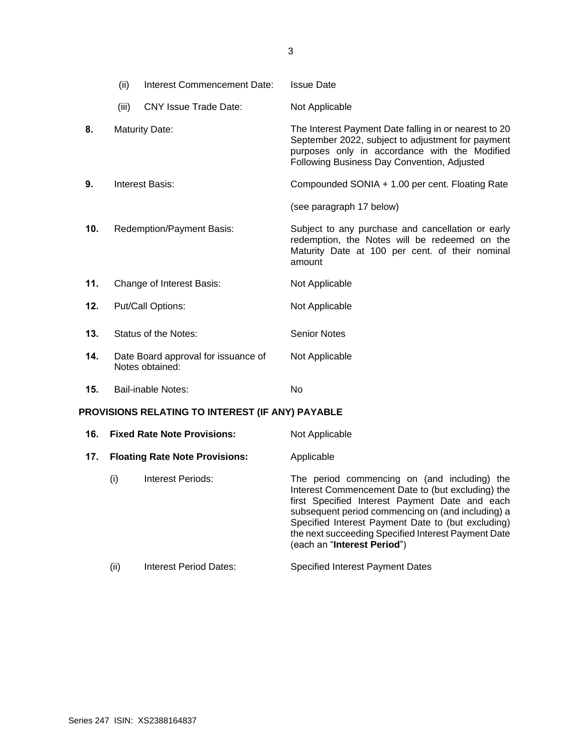|                                                  | (ii)  | Interest Commencement Date:                            | <b>Issue Date</b>                                                                                                                                                                                          |
|--------------------------------------------------|-------|--------------------------------------------------------|------------------------------------------------------------------------------------------------------------------------------------------------------------------------------------------------------------|
|                                                  | (iii) | <b>CNY Issue Trade Date:</b>                           | Not Applicable                                                                                                                                                                                             |
| 8.                                               |       | <b>Maturity Date:</b>                                  | The Interest Payment Date falling in or nearest to 20<br>September 2022, subject to adjustment for payment<br>purposes only in accordance with the Modified<br>Following Business Day Convention, Adjusted |
| 9.                                               |       | Interest Basis:                                        | Compounded SONIA + 1.00 per cent. Floating Rate                                                                                                                                                            |
|                                                  |       |                                                        | (see paragraph 17 below)                                                                                                                                                                                   |
| 10.                                              |       | Redemption/Payment Basis:                              | Subject to any purchase and cancellation or early<br>redemption, the Notes will be redeemed on the<br>Maturity Date at 100 per cent. of their nominal<br>amount                                            |
| 11.                                              |       | Change of Interest Basis:                              | Not Applicable                                                                                                                                                                                             |
| 12.                                              |       | Put/Call Options:                                      | Not Applicable                                                                                                                                                                                             |
| 13.                                              |       | Status of the Notes:                                   | <b>Senior Notes</b>                                                                                                                                                                                        |
| 14.                                              |       | Date Board approval for issuance of<br>Notes obtained: | Not Applicable                                                                                                                                                                                             |
| 15.                                              |       | <b>Bail-inable Notes:</b>                              | No                                                                                                                                                                                                         |
| PROVISIONS RELATING TO INTEREST (IF ANY) PAYABLE |       |                                                        |                                                                                                                                                                                                            |
| 16.                                              |       | <b>Fixed Rate Note Provisions:</b>                     | Not Applicable                                                                                                                                                                                             |

- 17. **Floating Rate Note Provisions:** Applicable
	- (i) Interest Periods: The period commencing on (and including) the Interest Commencement Date to (but excluding) the first Specified Interest Payment Date and each subsequent period commencing on (and including) a Specified Interest Payment Date to (but excluding) the next succeeding Specified Interest Payment Date (each an "**Interest Period**")
	- (ii) Interest Period Dates: Specified Interest Payment Dates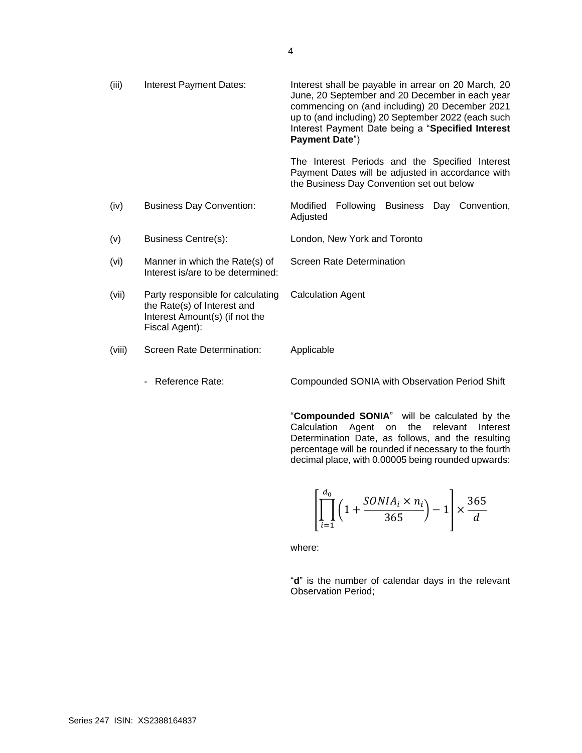| (iii)  | Interest Payment Dates:                                                                                              | Interest shall be payable in arrear on 20 March, 20<br>June, 20 September and 20 December in each year<br>commencing on (and including) 20 December 2021<br>up to (and including) 20 September 2022 (each such<br>Interest Payment Date being a "Specified Interest<br>Payment Date") |
|--------|----------------------------------------------------------------------------------------------------------------------|---------------------------------------------------------------------------------------------------------------------------------------------------------------------------------------------------------------------------------------------------------------------------------------|
|        |                                                                                                                      | The Interest Periods and the Specified Interest<br>Payment Dates will be adjusted in accordance with<br>the Business Day Convention set out below                                                                                                                                     |
| (iv)   | <b>Business Day Convention:</b>                                                                                      | Following Business<br>Modified<br>Day Convention,<br>Adjusted                                                                                                                                                                                                                         |
| (v)    | Business Centre(s):                                                                                                  | London, New York and Toronto                                                                                                                                                                                                                                                          |
| (vi)   | Manner in which the Rate(s) of<br>Interest is/are to be determined:                                                  | <b>Screen Rate Determination</b>                                                                                                                                                                                                                                                      |
| (vii)  | Party responsible for calculating<br>the Rate(s) of Interest and<br>Interest Amount(s) (if not the<br>Fiscal Agent): | <b>Calculation Agent</b>                                                                                                                                                                                                                                                              |
| (viii) | Screen Rate Determination:                                                                                           | Applicable                                                                                                                                                                                                                                                                            |

- Reference Rate: Compounded SONIA with Observation Period Shift

"**Compounded SONIA**" will be calculated by the Calculation Agent on the relevant Interest Determination Date, as follows, and the resulting percentage will be rounded if necessary to the fourth decimal place, with 0.00005 being rounded upwards:

$$
\left[\prod_{i=1}^{d_0} \left(1 + \frac{SONIA_i \times n_i}{365}\right) - 1\right] \times \frac{365}{d}
$$

where:

"**d**" is the number of calendar days in the relevant Observation Period;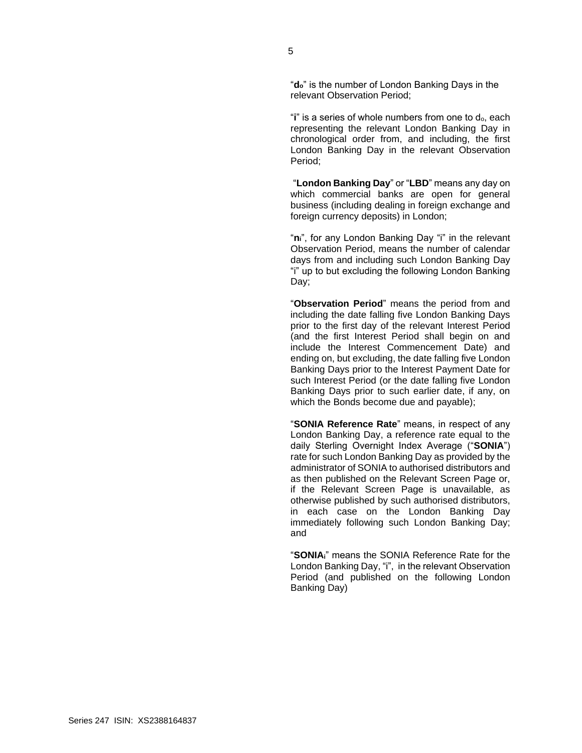"**do**" is the number of London Banking Days in the relevant Observation Period;

"**i**" is a series of whole numbers from one to  $d_0$ , each representing the relevant London Banking Day in chronological order from, and including, the first London Banking Day in the relevant Observation Period;

"**London Banking Day**" or "**LBD**" means any day on which commercial banks are open for general business (including dealing in foreign exchange and foreign currency deposits) in London;

"**ni**", for any London Banking Day "i" in the relevant Observation Period, means the number of calendar days from and including such London Banking Day "i" up to but excluding the following London Banking Day;

"**Observation Period**" means the period from and including the date falling five London Banking Days prior to the first day of the relevant Interest Period (and the first Interest Period shall begin on and include the Interest Commencement Date) and ending on, but excluding, the date falling five London Banking Days prior to the Interest Payment Date for such Interest Period (or the date falling five London Banking Days prior to such earlier date, if any, on which the Bonds become due and payable);

"**SONIA Reference Rate**" means, in respect of any London Banking Day, a reference rate equal to the daily Sterling Overnight Index Average ("**SONIA**") rate for such London Banking Day as provided by the administrator of SONIA to authorised distributors and as then published on the Relevant Screen Page or, if the Relevant Screen Page is unavailable, as otherwise published by such authorised distributors, in each case on the London Banking Day immediately following such London Banking Day; and

"**SONIAi**" means the SONIA Reference Rate for the London Banking Day, "i", in the relevant Observation Period (and published on the following London Banking Day)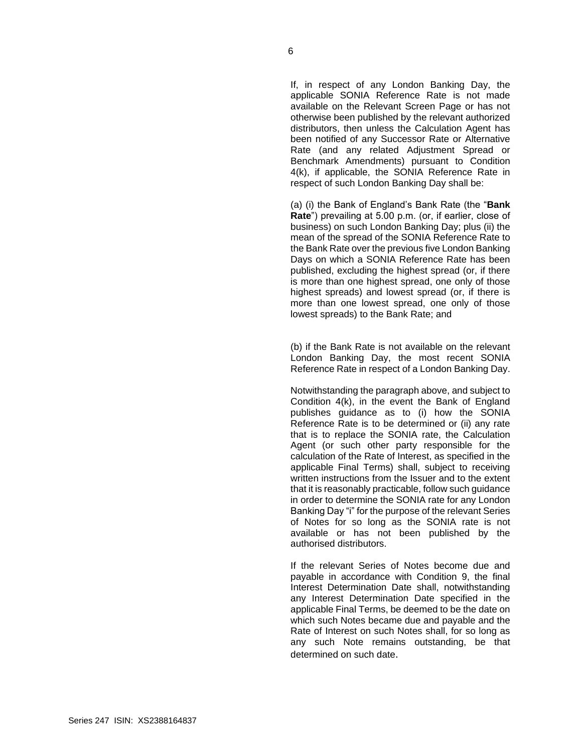If, in respect of any London Banking Day, the applicable SONIA Reference Rate is not made available on the Relevant Screen Page or has not otherwise been published by the relevant authorized distributors, then unless the Calculation Agent has been notified of any Successor Rate or Alternative Rate (and any related Adjustment Spread or Benchmark Amendments) pursuant to Condition 4(k), if applicable, the SONIA Reference Rate in respect of such London Banking Day shall be:

(a) (i) the Bank of England's Bank Rate (the "**Bank Rate**") prevailing at 5.00 p.m. (or, if earlier, close of business) on such London Banking Day; plus (ii) the mean of the spread of the SONIA Reference Rate to the Bank Rate over the previous five London Banking Days on which a SONIA Reference Rate has been published, excluding the highest spread (or, if there is more than one highest spread, one only of those highest spreads) and lowest spread (or, if there is more than one lowest spread, one only of those lowest spreads) to the Bank Rate; and

(b) if the Bank Rate is not available on the relevant London Banking Day, the most recent SONIA Reference Rate in respect of a London Banking Day.

Notwithstanding the paragraph above, and subject to Condition 4(k), in the event the Bank of England publishes guidance as to (i) how the SONIA Reference Rate is to be determined or (ii) any rate that is to replace the SONIA rate, the Calculation Agent (or such other party responsible for the calculation of the Rate of Interest, as specified in the applicable Final Terms) shall, subject to receiving written instructions from the Issuer and to the extent that it is reasonably practicable, follow such guidance in order to determine the SONIA rate for any London Banking Day "i" for the purpose of the relevant Series of Notes for so long as the SONIA rate is not available or has not been published by the authorised distributors.

If the relevant Series of Notes become due and payable in accordance with Condition 9, the final Interest Determination Date shall, notwithstanding any Interest Determination Date specified in the applicable Final Terms, be deemed to be the date on which such Notes became due and payable and the Rate of Interest on such Notes shall, for so long as any such Note remains outstanding, be that determined on such date.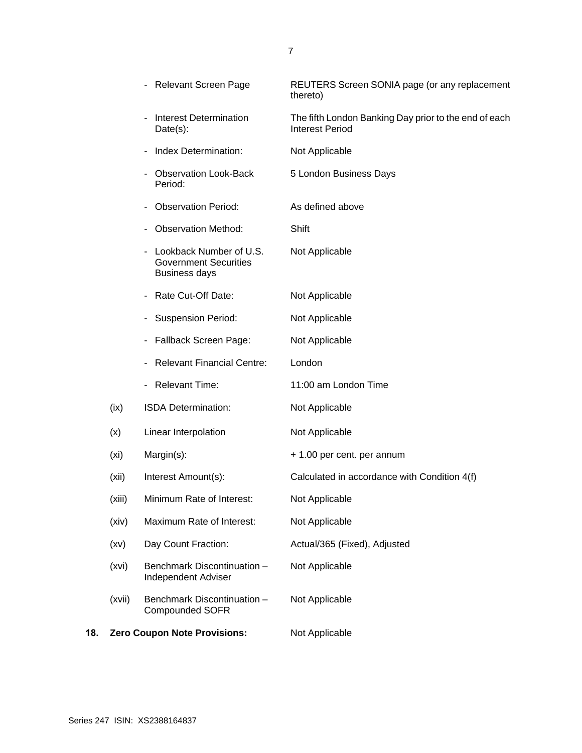| 18. |                   | <b>Zero Coupon Note Provisions:</b>                                             | Not Applicable                                                                  |
|-----|-------------------|---------------------------------------------------------------------------------|---------------------------------------------------------------------------------|
|     | (xvii)            | Benchmark Discontinuation -<br><b>Compounded SOFR</b>                           | Not Applicable                                                                  |
|     | (xvi)             | Benchmark Discontinuation -<br><b>Independent Adviser</b>                       | Not Applicable                                                                  |
|     | (xv)              | Day Count Fraction:                                                             | Actual/365 (Fixed), Adjusted                                                    |
|     | (xiv)             | Maximum Rate of Interest:                                                       | Not Applicable                                                                  |
|     | (xiii)            | Minimum Rate of Interest:                                                       | Not Applicable                                                                  |
|     | (xii)             | Interest Amount(s):                                                             | Calculated in accordance with Condition 4(f)                                    |
|     | (x <sub>i</sub> ) | Margin(s):                                                                      | + 1.00 per cent. per annum                                                      |
|     | (x)               | Linear Interpolation                                                            | Not Applicable                                                                  |
|     | (ix)              | ISDA Determination:                                                             | Not Applicable                                                                  |
|     |                   | - Relevant Time:                                                                | 11:00 am London Time                                                            |
|     |                   | <b>Relevant Financial Centre:</b>                                               | London                                                                          |
|     |                   | Fallback Screen Page:                                                           | Not Applicable                                                                  |
|     |                   | <b>Suspension Period:</b>                                                       | Not Applicable                                                                  |
|     |                   | Rate Cut-Off Date:                                                              | Not Applicable                                                                  |
|     |                   | Lookback Number of U.S.<br><b>Government Securities</b><br><b>Business days</b> | Not Applicable                                                                  |
|     |                   | <b>Observation Method:</b>                                                      | Shift                                                                           |
|     |                   | <b>Observation Period:</b>                                                      | As defined above                                                                |
|     |                   | <b>Observation Look-Back</b><br>Period:                                         | 5 London Business Days                                                          |
|     |                   | Index Determination:                                                            | Not Applicable                                                                  |
|     |                   | <b>Interest Determination</b><br>Date(s):                                       | The fifth London Banking Day prior to the end of each<br><b>Interest Period</b> |
|     |                   | <b>Relevant Screen Page</b>                                                     | REUTERS Screen SONIA page (or any replacement<br>thereto)                       |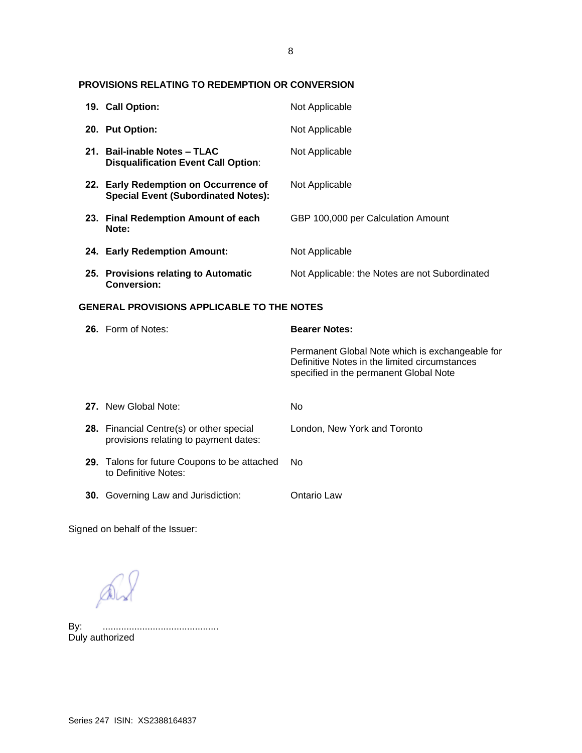## 8

# **PROVISIONS RELATING TO REDEMPTION OR CONVERSION**

|                                                   | 19. Call Option:                                                                    | Not Applicable                                                                                                                             |  |
|---------------------------------------------------|-------------------------------------------------------------------------------------|--------------------------------------------------------------------------------------------------------------------------------------------|--|
|                                                   | 20. Put Option:                                                                     | Not Applicable                                                                                                                             |  |
|                                                   | 21. Bail-inable Notes - TLAC<br><b>Disqualification Event Call Option:</b>          | Not Applicable                                                                                                                             |  |
|                                                   | 22. Early Redemption on Occurrence of<br><b>Special Event (Subordinated Notes):</b> | Not Applicable                                                                                                                             |  |
|                                                   | 23. Final Redemption Amount of each<br>Note:                                        | GBP 100,000 per Calculation Amount                                                                                                         |  |
|                                                   | 24. Early Redemption Amount:                                                        | Not Applicable                                                                                                                             |  |
|                                                   | 25. Provisions relating to Automatic<br><b>Conversion:</b>                          | Not Applicable: the Notes are not Subordinated                                                                                             |  |
| <b>GENERAL PROVISIONS APPLICABLE TO THE NOTES</b> |                                                                                     |                                                                                                                                            |  |
|                                                   |                                                                                     |                                                                                                                                            |  |
|                                                   | 26. Form of Notes:                                                                  | <b>Bearer Notes:</b>                                                                                                                       |  |
|                                                   |                                                                                     | Permanent Global Note which is exchangeable for<br>Definitive Notes in the limited circumstances<br>specified in the permanent Global Note |  |
|                                                   | 27. New Global Note:                                                                | No                                                                                                                                         |  |
|                                                   | 28. Financial Centre(s) or other special<br>provisions relating to payment dates:   | London, New York and Toronto                                                                                                               |  |
|                                                   | 29. Talons for future Coupons to be attached<br>to Definitive Notes:                | No                                                                                                                                         |  |

Signed on behalf of the Issuer:

 $\mathbb{A}$ 

By: ............................................ By: .............<br>Duly authorized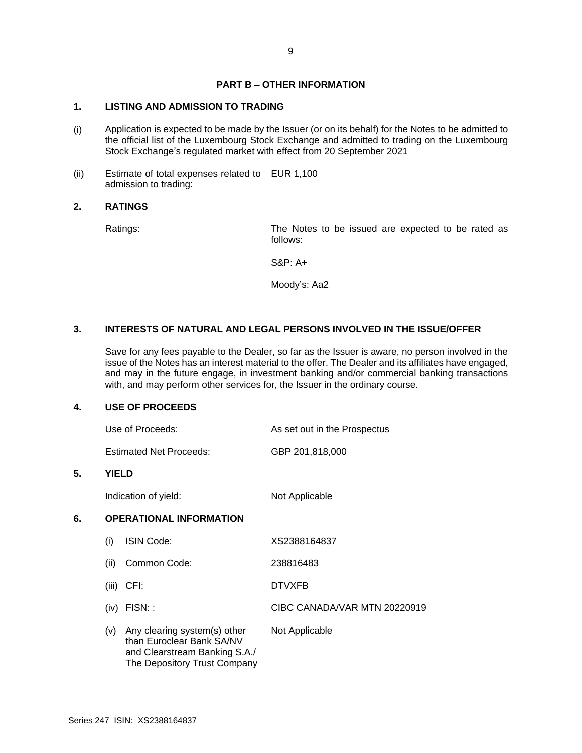# **PART B – OTHER INFORMATION**

# **1. LISTING AND ADMISSION TO TRADING**

- (i) Application is expected to be made by the Issuer (or on its behalf) for the Notes to be admitted to the official list of the Luxembourg Stock Exchange and admitted to trading on the Luxembourg Stock Exchange's regulated market with effect from 20 September 2021
- (ii) Estimate of total expenses related to EUR 1,100 admission to trading:

### **2. RATINGS**

Ratings: The Notes to be issued are expected to be rated as follows:

S&P: A+

Moody's: Aa2

# **3. INTERESTS OF NATURAL AND LEGAL PERSONS INVOLVED IN THE ISSUE/OFFER**

Save for any fees payable to the Dealer, so far as the Issuer is aware, no person involved in the issue of the Notes has an interest material to the offer. The Dealer and its affiliates have engaged, and may in the future engage, in investment banking and/or commercial banking transactions with, and may perform other services for, the Issuer in the ordinary course.

#### **4. USE OF PROCEEDS**

| Use of Proceeds: | As set out in the Prospectus |
|------------------|------------------------------|
|                  |                              |

Estimated Net Proceeds: GBP 201,818,000

#### **5. YIELD**

Indication of yield: Not Applicable

# **6. OPERATIONAL INFORMATION**

| (i)   | <b>ISIN Code:</b>                                                                                                          | XS2388164837                 |
|-------|----------------------------------------------------------------------------------------------------------------------------|------------------------------|
| (ii)  | Common Code:                                                                                                               | 238816483                    |
| (iii) | CFI:                                                                                                                       | <b>DTVXFB</b>                |
| (iv)  | $FISN:$ :                                                                                                                  | CIBC CANADA/VAR MTN 20220919 |
| (V)   | Any clearing system(s) other<br>than Euroclear Bank SA/NV<br>and Clearstream Banking S.A./<br>The Depository Trust Company | Not Applicable               |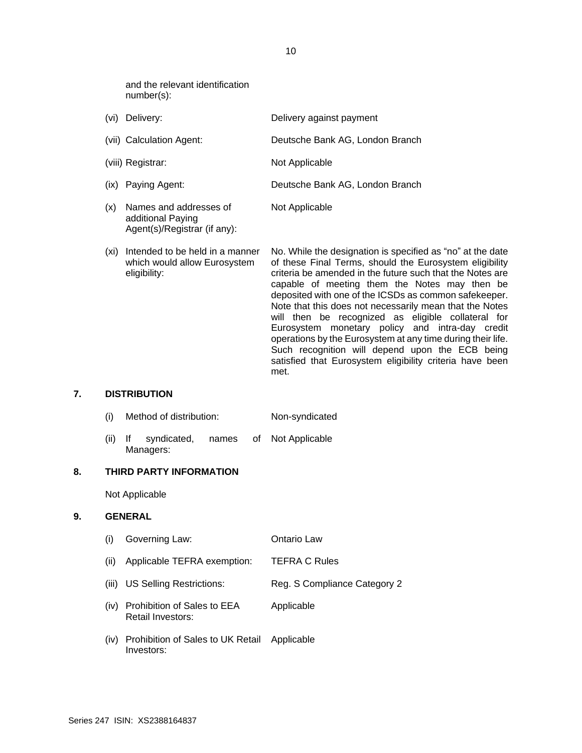and the relevant identification number(s):

Agent(s)/Registrar (if any):

| (vi) | Delivery:                                   | Delivery against payment        |
|------|---------------------------------------------|---------------------------------|
|      | (vii) Calculation Agent:                    | Deutsche Bank AG, London Branch |
|      | (viii) Registrar:                           | Not Applicable                  |
|      | (ix) Paying Agent:                          | Deutsche Bank AG, London Branch |
| (x)  | Names and addresses of<br>additional Paying | Not Applicable                  |

(xi) Intended to be held in a manner which would allow Eurosystem eligibility: No. While the designation is specified as "no" at the date of these Final Terms, should the Eurosystem eligibility criteria be amended in the future such that the Notes are capable of meeting them the Notes may then be deposited with one of the ICSDs as common safekeeper. Note that this does not necessarily mean that the Notes will then be recognized as eligible collateral for Eurosystem monetary policy and intra-day credit operations by the Eurosystem at any time during their life. Such recognition will depend upon the ECB being satisfied that Eurosystem eligibility criteria have been met.

### **7. DISTRIBUTION**

- (i) Method of distribution: Non-syndicated
- (ii) If syndicated, names of Managers: Not Applicable

#### **8. THIRD PARTY INFORMATION**

Not Applicable

#### **9. GENERAL**

- (i) Governing Law: Ontario Law (ii) Applicable TEFRA exemption: TEFRA C Rules (iii) US Selling Restrictions: Reg. S Compliance Category 2 (iv) Prohibition of Sales to EEA Applicable
- Retail Investors:
- (iv) Prohibition of Sales to UK Retail Investors: Applicable